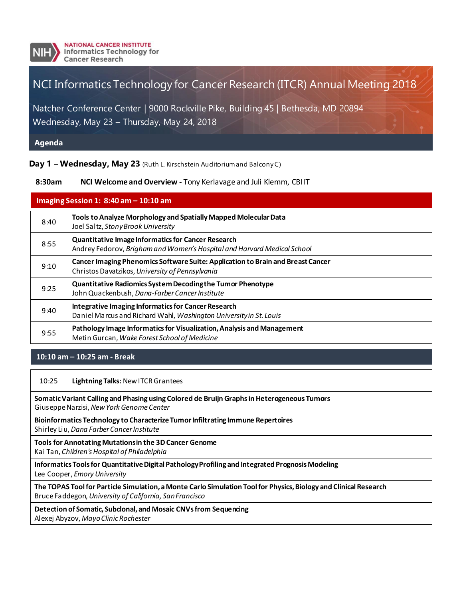

# NCI Informatics Technology for Cancer Research (ITCR) Annual Meeting 2018

Natcher Conference Center | 9000 Rockville Pike, Building 45 | Bethesda, MD 20894 Wednesday, May 23 – Thursday, May 24, 2018

**Agenda**

**Day 1 – Wednesday, May 23** (Ruth L. Kirschstein Auditorium and Balcony C)

#### **8:30am NCI Welcome and Overview -** Tony Kerlavage and Juli Klemm, CBIIT

| Imaging Session 1: $8:40$ am $- 10:10$ am |                                                                                                                                      |
|-------------------------------------------|--------------------------------------------------------------------------------------------------------------------------------------|
| 8:40                                      | Tools to Analyze Morphology and Spatially Mapped Molecular Data<br>Joel Saltz, Stony Brook University                                |
| 8:55                                      | <b>Quantitative Image Informatics for Cancer Research</b><br>Andrey Fedorov, Brigham and Women's Hospital and Harvard Medical School |
| 9:10                                      | Cancer Imaging Phenomics Software Suite: Application to Brain and Breast Cancer<br>Christos Davatzikos, University of Pennsylvania   |
| 9:25                                      | Quantitative Radiomics System Decoding the Tumor Phenotype<br>John Quackenbush, Dana-Farber Cancer Institute                         |
| 9:40                                      | <b>Integrative Imaging Informatics for Cancer Research</b><br>Daniel Marcus and Richard Wahl, Washington University in St. Louis     |
| 9:55                                      | Pathology Image Informatics for Visualization, Analysis and Management<br>Metin Gurcan, Wake Forest School of Medicine               |

#### **10:10 am – 10:25 am - Break**

| 10:25                                                                                                                                                                       | <b>Lightning Talks: New ITCR Grantees</b> |  |
|-----------------------------------------------------------------------------------------------------------------------------------------------------------------------------|-------------------------------------------|--|
| Somatic Variant Calling and Phasing using Colored de Bruijn Graphs in Heterogeneous Tumors<br>Giuseppe Narzisi, New York Genome Center                                      |                                           |  |
| Bioinformatics Technology to Characterize Tumor Infiltrating Immune Repertoires<br>Shirley Liu, Dana Farber Cancer Institute                                                |                                           |  |
| Tools for Annotating Mutations in the 3D Cancer Genome<br>Kai Tan, Children's Hospital of Philadelphia                                                                      |                                           |  |
| Informatics Tools for Quantitative Digital Pathology Profiling and Integrated Prognosis Modeling<br>Lee Cooper, Emory University                                            |                                           |  |
| The TOPAS Tool for Particle Simulation, a Monte Carlo Simulation Tool for Physics, Biology and Clinical Research<br>Bruce Faddegon, University of California, San Francisco |                                           |  |
| Detection of Somatic, Subclonal, and Mosaic CNVs from Sequencing<br>Alexej Abyzov, Mayo Clinic Rochester                                                                    |                                           |  |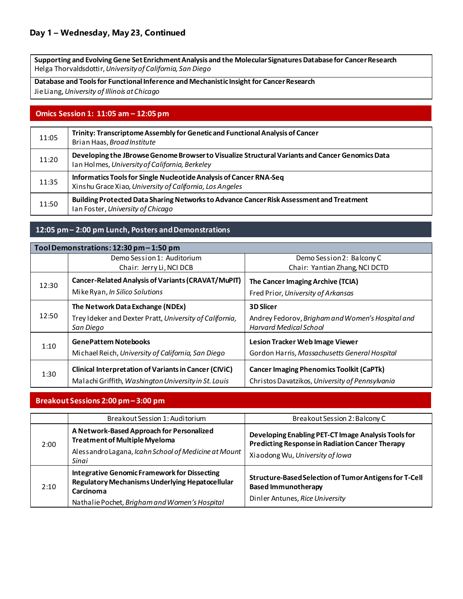**Supporting and Evolving Gene Set Enrichment Analysis and the Molecular Signatures Database for Cancer Research** Helga Thorvaldsdottir, *University of California, San Diego*

**Database and Tools for Functional Inference and Mechanistic Insight for Cancer Research** Jie Liang, *University of Illinois at Chicago*

#### **Omics Session 1: 11:05 am – 12:05 pm**

| 11:05 | Trinity: Transcriptome Assembly for Genetic and Functional Analysis of Cancer<br>Brian Haas, Broad Institute                                      |
|-------|---------------------------------------------------------------------------------------------------------------------------------------------------|
| 11:20 | Developing the JBrowse Genome Browser to Visualize Structural Variants and Cancer Genomics Data<br>Ian Holmes, University of California, Berkeley |
| 11:35 | Informatics Tools for Single Nucleotide Analysis of Cancer RNA-Seq<br>Xinshu Grace Xiao, University of California, Los Angeles                    |
| 11:50 | Building Protected Data Sharing Networks to Advance Cancer Risk Assessment and Treatment<br>Ian Foster, University of Chicago                     |

#### **12:05 pm – 2:00 pm Lunch, Posters and Demonstrations**

| Tool Demonstrations: 12:30 pm - 1:50 pm |                                                                                                                      |                                                                                                    |
|-----------------------------------------|----------------------------------------------------------------------------------------------------------------------|----------------------------------------------------------------------------------------------------|
|                                         | Demo Session 1: Auditorium                                                                                           | Demo Session 2: Balcony C                                                                          |
|                                         | Chair: Jerry Li, NCI DCB                                                                                             | Chair: Yantian Zhang, NCI DCTD                                                                     |
| 12:30                                   | Cancer-Related Analysis of Variants (CRAVAT/MuPIT)                                                                   | The Cancer Imaging Archive (TCIA)                                                                  |
|                                         | Mike Ryan, In Silico Solutions                                                                                       | Fred Prior, University of Arkansas                                                                 |
| 12:50                                   | The Network Data Exchange (NDEx)                                                                                     | <b>3D Slicer</b>                                                                                   |
|                                         | Trey I deker and Dexter Pratt, University of California,<br>San Diego                                                | Andrey Fedorov, Brigham and Women's Hospital and<br><b>Harvard Medical School</b>                  |
| 1:10                                    | <b>GenePattern Notebooks</b><br>Michael Reich, University of California, San Diego                                   | Lesion Tracker Web Image Viewer<br>Gordon Harris, Massachusetts General Hospital                   |
| 1:30                                    | <b>Clinical Interpretation of Variants in Cancer (CIVIC)</b><br>Malachi Griffith, Washington University in St. Louis | <b>Cancer Imaging Phenomics Toolkit (CaPTk)</b><br>Christos Davatzikos, University of Pennsylvania |

#### **Breakout Sessions 2:00 pm – 3:00 pm**

|      | Breakout Session 1: Auditorium                                                                                                                                       | Breakout Session 2: Balcony C                                                                                                                    |
|------|----------------------------------------------------------------------------------------------------------------------------------------------------------------------|--------------------------------------------------------------------------------------------------------------------------------------------------|
| 2:00 | A Network-Based Approach for Personalized<br><b>Treatment of Multiple Myeloma</b><br>Alessandro Lagana, Icahn School of Medicine at Mount<br>Sinai                   | Developing Enabling PET-CT Image Analysis Tools for<br><b>Predicting Response in Radiation Cancer Therapy</b><br>Xiaodong Wu, University of Iowa |
| 2:10 | <b>Integrative Genomic Framework for Dissecting</b><br>Regulatory Mechanisms Underlying Hepatocellular<br>Carcinoma<br>Nathalie Pochet, Brigham and Women's Hospital | Structure-Based Selection of Tumor Antigens for T-Cell<br><b>Based Immunotherapy</b><br>Dinler Antunes, Rice University                          |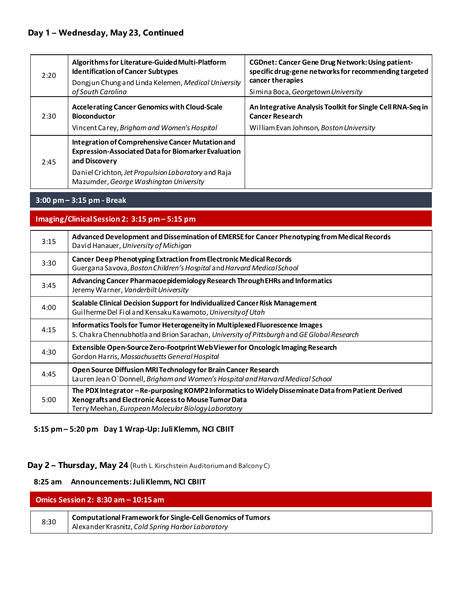## **Day 1 – Wednesday, May 23, Continued**

| 2:20 | Algorithms for Literature-Guided Multi-Platform<br><b>Identification of Cancer Subtypes</b><br>Dongjun Chung and Linda Kelemen, Medical University<br>of South Carolina                                                          | <b>CGDnet: Cancer Gene Drug Network: Using patient-</b><br>specific drug-gene networks for recommending targeted<br>cancer therapies<br>Simina Boca, Georgetown University |
|------|----------------------------------------------------------------------------------------------------------------------------------------------------------------------------------------------------------------------------------|----------------------------------------------------------------------------------------------------------------------------------------------------------------------------|
| 2:30 | <b>Accelerating Cancer Genomics with Cloud-Scale</b><br><b>Bioconductor</b><br>Vincent Carey, Brigham and Women's Hospital                                                                                                       | An Integrative Analysis Toolkit for Single Cell RNA-Seq in<br><b>Cancer Research</b><br>William Evan Johnson, Boston University                                            |
| 2:45 | Integration of Comprehensive Cancer Mutation and<br><b>Expression-Associated Data for Biomarker Evaluation</b><br>and Discovery<br>Daniel Crichton, Jet Propulsion Laboratory and Raja<br>Mazumder, George Washington University |                                                                                                                                                                            |

### **3:00 pm – 3:15 pm - Break**

**Imaging/Clinical Session 2: 3:15 pm – 5:15 pm**

| 3:15 | Advanced Development and Dissemination of EMERSE for Cancer Phenotyping from Medical Records<br>David Hanauer, University of Michigan                                                                              |  |
|------|--------------------------------------------------------------------------------------------------------------------------------------------------------------------------------------------------------------------|--|
| 3:30 | <b>Cancer Deep Phenotyping Extraction from Electronic Medical Records</b><br>Guergana Savova, Boston Children's Hospital and Harvard Medical School                                                                |  |
| 3:45 | Advancing Cancer Pharmacoepidemiology Research Through EHRs and Informatics<br>Jeremy Warner, Vanderbilt University                                                                                                |  |
| 4:00 | Scalable Clinical Decision Support for Individualized Cancer Risk Management<br>Guilherme Del Fiol and Kensaku Kawamoto, University of Utah                                                                        |  |
| 4:15 | Informatics Tools for Tumor Heterogeneity in Multiplexed Fluorescence Images<br>S. Chakra Chennubhotla and Brion Sarachan, University of Pittsburgh and GE Global Research                                         |  |
| 4:30 | Extensible Open-Source Zero-Footprint Web Viewer for Oncologic Imaging Research<br>Gordon Harris, Massachusetts General Hospital                                                                                   |  |
| 4:45 | Open Source Diffusion MRI Technology for Brain Cancer Research<br>Lauren Jean O'Donnell, Brigham and Women's Hospital and Harvard Medical School                                                                   |  |
| 5:00 | The PDX Integrator - Re-purposing KOMP2 Informatics to Widely Disseminate Data from Patient Derived<br>Xenografts and Electronic Access to Mouse Tumor Data<br>Terry Meehan, European Molecular Biology Laboratory |  |

#### **5:15 pm – 5:20 pm Day 1 Wrap-Up: Juli Klemm, NCI CBIIT**

**Day 2 – Thursday, May 24** (Ruth L. Kirschstein Auditorium and Balcony C)

#### **8:25 am Announcements: Juli Klemm, NCI CBIIT**

| Omics Session 2: $8:30$ am $-10:15$ am |                                                                                                                        |
|----------------------------------------|------------------------------------------------------------------------------------------------------------------------|
| 8:30                                   | <b>Computational Framework for Single-Cell Genomics of Tumors</b><br>Alexander Krasnitz, Cold Spring Harbor Laboratory |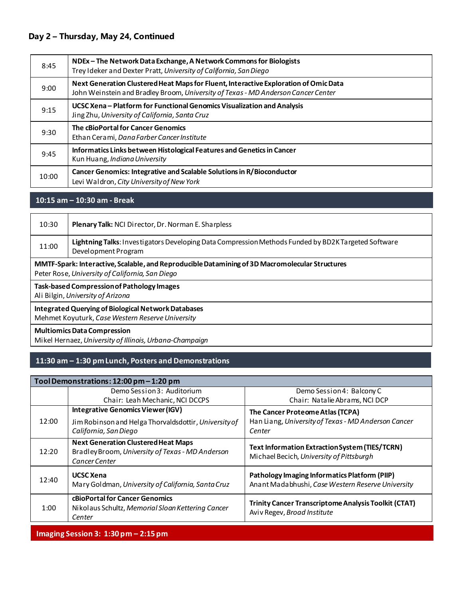## **Day 2 – Thursday, May 24, Continued**

| 8:45  | NDEx - The Network Data Exchange, A Network Commons for Biologists<br>Trey I deker and Dexter Pratt, University of California, San Diego                                  |
|-------|---------------------------------------------------------------------------------------------------------------------------------------------------------------------------|
| 9:00  | Next Generation Clustered Heat Maps for Fluent, Interactive Exploration of Omic Data<br>John Weinstein and Bradley Broom, University of Texas - MD Anderson Cancer Center |
| 9:15  | UCSC Xena – Platform for Functional Genomics Visualization and Analysis<br>Jing Zhu, University of California, Santa Cruz                                                 |
| 9:30  | The cBioPortal for Cancer Genomics<br>Ethan Cerami, Dana Farber Cancer Institute                                                                                          |
| 9:45  | Informatics Links between Histological Features and Genetics in Cancer<br>Kun Huang, Indiana University                                                                   |
| 10:00 | Cancer Genomics: Integrative and Scalable Solutions in R/Bioconductor<br>Levi Waldron, City University of New York                                                        |

## **10:15 am – 10:30 am - Break**

| 10:30                                                                                                                                             | Plenary Talk: NCI Director, Dr. Norman E. Sharpless                                                                        |  |
|---------------------------------------------------------------------------------------------------------------------------------------------------|----------------------------------------------------------------------------------------------------------------------------|--|
| 11:00                                                                                                                                             | Lightning Talks: Investigators Developing Data Compression Methods Funded by BD2K Targeted Software<br>Development Program |  |
| MMTF-Spark: Interactive, Scalable, and Reproducible Datamining of 3D Macromolecular Structures<br>Peter Rose, University of California, San Diego |                                                                                                                            |  |
| <b>Task-based Compression of Pathology Images</b><br>Ali Bilgin, University of Arizona                                                            |                                                                                                                            |  |
| <b>Integrated Querying of Biological Network Databases</b><br>Mehmet Koyuturk, Case Western Reserve University                                    |                                                                                                                            |  |
| <b>Multiomics Data Compression</b><br>Mikel Hernaez, University of Illinois, Urbana-Champaign                                                     |                                                                                                                            |  |

## **11:30 am – 1:30 pmLunch, Posters and Demonstrations**

| Tool Demonstrations: 12:00 pm - 1:20 pm |                                                                                                                            |                                                                                                    |
|-----------------------------------------|----------------------------------------------------------------------------------------------------------------------------|----------------------------------------------------------------------------------------------------|
|                                         | Demo Session 3: Auditorium                                                                                                 | Demo Session 4: Balcony C                                                                          |
|                                         | Chair: Leah Mechanic, NCI DCCPS                                                                                            | Chair: Natalie Abrams, NCI DCP                                                                     |
| 12:00                                   | <b>Integrative Genomics Viewer (IGV)</b><br>Jim Robinson and Helga Thorvaldsdottir, University of<br>California, San Diego | The Cancer Proteome Atlas (TCPA)<br>Han Liang, University of Texas - MD Anderson Cancer<br>Center  |
| 12:20                                   | <b>Next Generation Clustered Heat Maps</b><br>Bradley Broom, University of Texas - MD Anderson<br>Cancer Center            | <b>Text Information Extraction System (TIES/TCRN)</b><br>Michael Becich, University of Pittsburgh  |
| 12:40                                   | <b>UCSC Xena</b><br>Mary Goldman, University of California, Santa Cruz                                                     | Pathology Imaging Informatics Platform (PIIP)<br>Anant Madabhushi, Case Western Reserve University |
| 1:00                                    | cBioPortal for Cancer Genomics<br>Nikolaus Schultz, Memorial Sloan Kettering Cancer<br>Center                              | <b>Trinity Cancer Transcriptome Analysis Toolkit (CTAT)</b><br>Aviv Regev, Broad Institute         |
|                                         |                                                                                                                            |                                                                                                    |

## **Imaging Session 3: 1:30 pm – 2:15 pm**